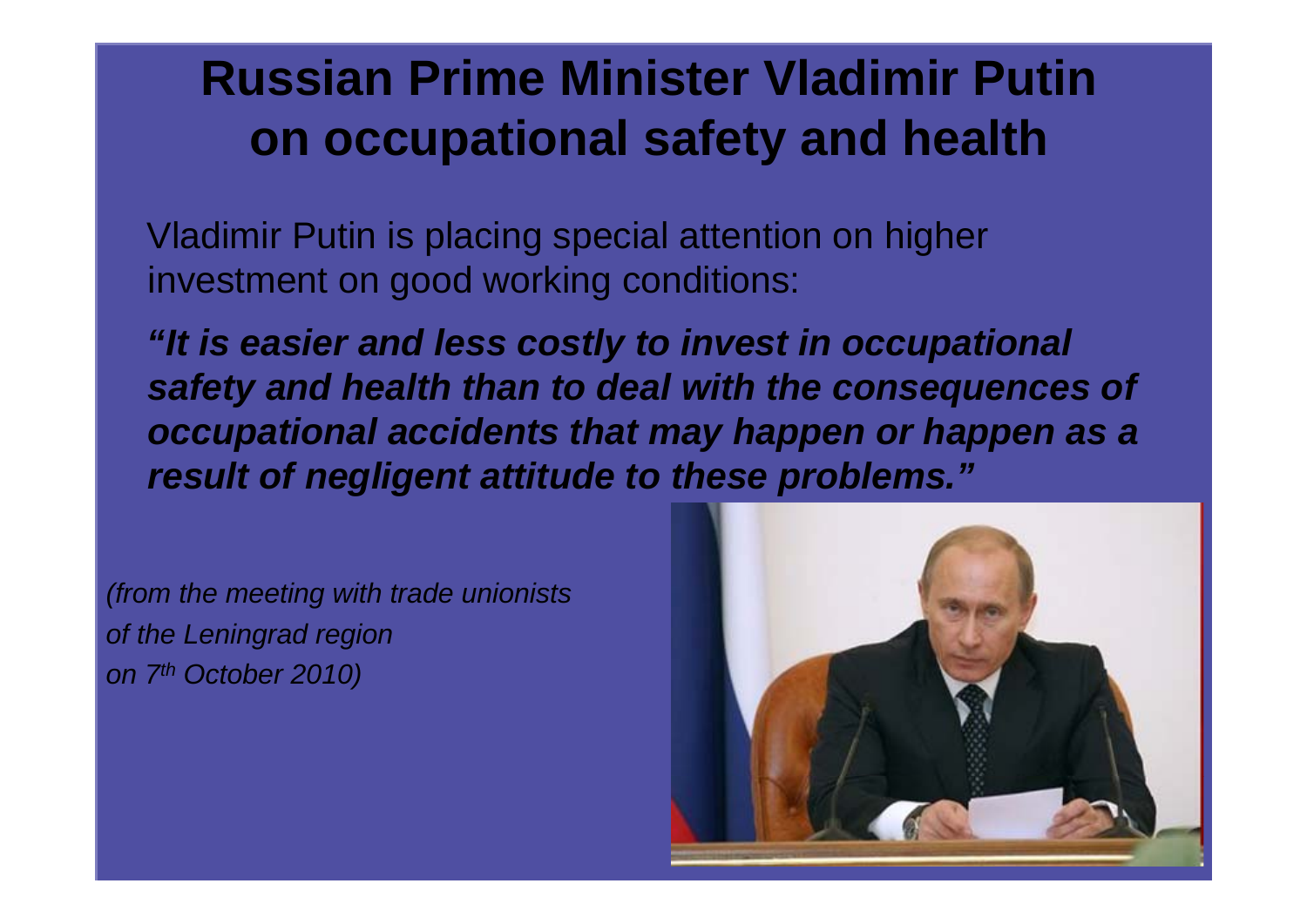## **Russian Prime Minister Vladimir Putin on occupational safety and health**

Vladimir Putin is placing special attention on higher investment on good working conditions:

*"It is easier and less costly to invest in occupational safety and health than to deal with the consequences of occupational accidents that may happen or happen as a result of negligent attitude to these problems."*

*(from the meeting with trade unionists of the Leningrad region on 7th October 2010)*

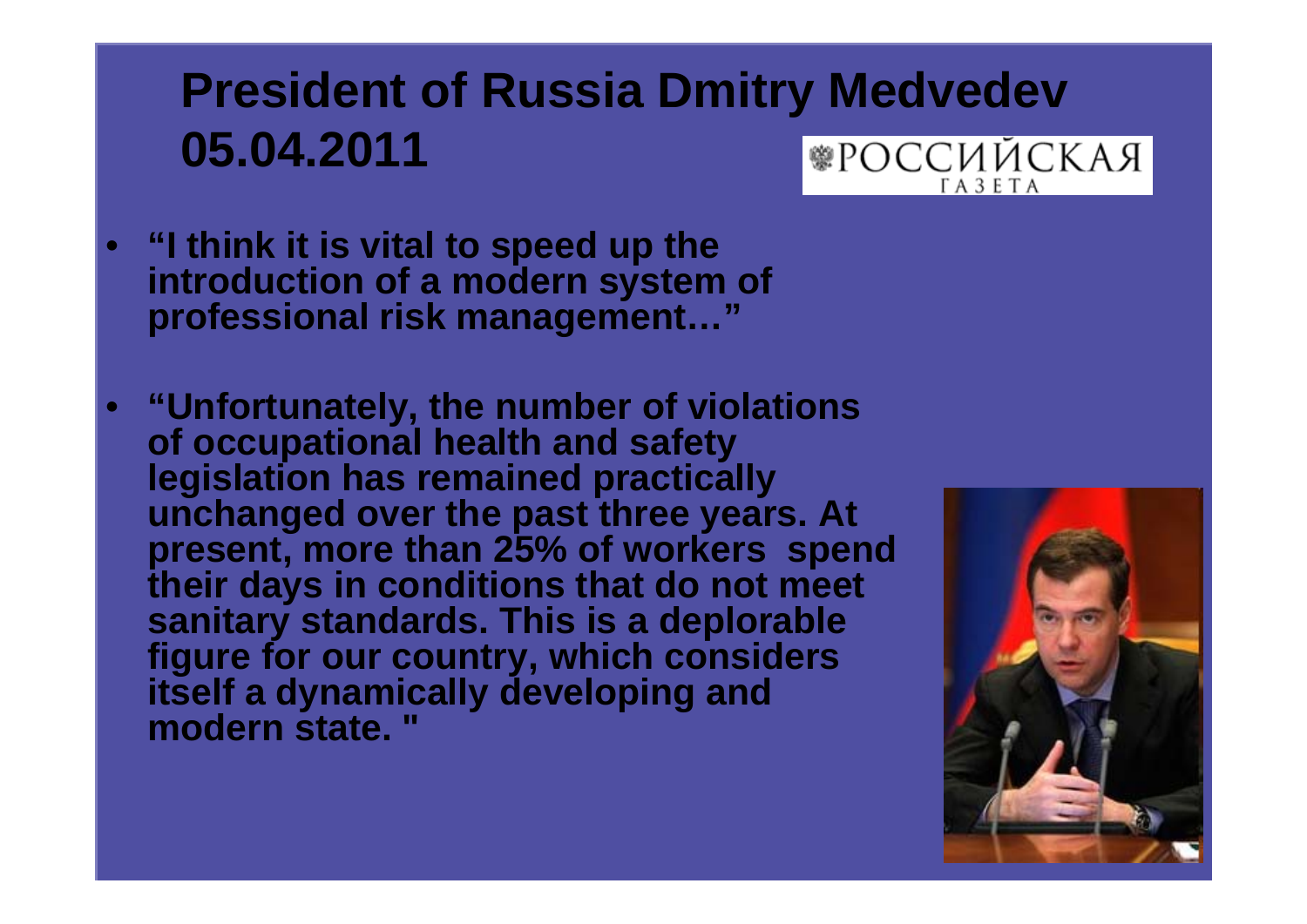## **President of Russia Dmitry Medvedev 05.04.2011 ®РОССИЙСКАЯ**  $\Gamma A 3 E T A$

- **"I think it is vital to speed up the introduction of a modern system of professional risk management…"**
- **"Unfortunately, the number of violations of occupational health and safety legislation has remained practically unchanged over the past three years. At present, more than 25% of workers spend their days in conditions that do not meet sanitary standards. This is a deplorable figure for our country, which considers itself a dynamically developing and modern state. "**